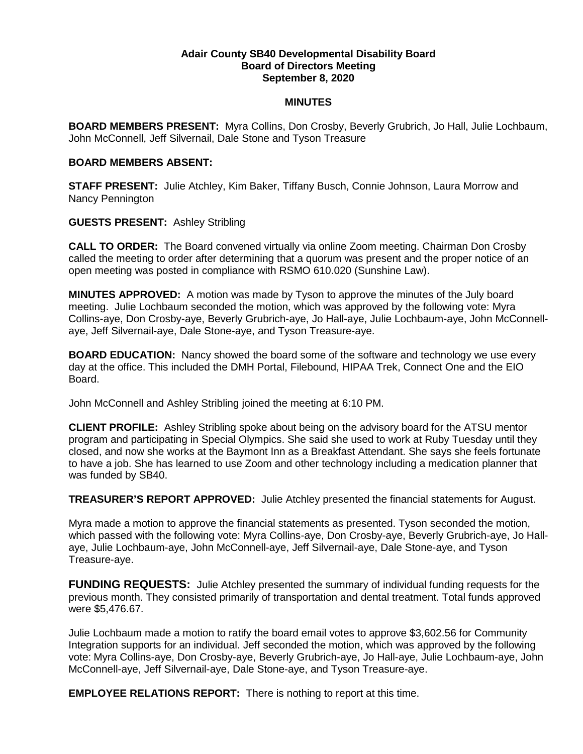#### **Adair County SB40 Developmental Disability Board Board of Directors Meeting September 8, 2020**

### **MINUTES**

**BOARD MEMBERS PRESENT:** Myra Collins, Don Crosby, Beverly Grubrich, Jo Hall, Julie Lochbaum, John McConnell, Jeff Silvernail, Dale Stone and Tyson Treasure

### **BOARD MEMBERS ABSENT:**

**STAFF PRESENT:** Julie Atchley, Kim Baker, Tiffany Busch, Connie Johnson, Laura Morrow and Nancy Pennington

# **GUESTS PRESENT:** Ashley Stribling

**CALL TO ORDER:** The Board convened virtually via online Zoom meeting. Chairman Don Crosby called the meeting to order after determining that a quorum was present and the proper notice of an open meeting was posted in compliance with RSMO 610.020 (Sunshine Law).

**MINUTES APPROVED:** A motion was made by Tyson to approve the minutes of the July board meeting. Julie Lochbaum seconded the motion, which was approved by the following vote: Myra Collins-aye, Don Crosby-aye, Beverly Grubrich-aye, Jo Hall-aye, Julie Lochbaum-aye, John McConnellaye, Jeff Silvernail-aye, Dale Stone-aye, and Tyson Treasure-aye.

**BOARD EDUCATION:** Nancy showed the board some of the software and technology we use every day at the office. This included the DMH Portal, Filebound, HIPAA Trek, Connect One and the EIO Board.

John McConnell and Ashley Stribling joined the meeting at 6:10 PM.

**CLIENT PROFILE:** Ashley Stribling spoke about being on the advisory board for the ATSU mentor program and participating in Special Olympics. She said she used to work at Ruby Tuesday until they closed, and now she works at the Baymont Inn as a Breakfast Attendant. She says she feels fortunate to have a job. She has learned to use Zoom and other technology including a medication planner that was funded by SB40.

**TREASURER'S REPORT APPROVED:** Julie Atchley presented the financial statements for August.

Myra made a motion to approve the financial statements as presented. Tyson seconded the motion, which passed with the following vote: Myra Collins-aye, Don Crosby-aye, Beverly Grubrich-aye, Jo Hallaye, Julie Lochbaum-aye, John McConnell-aye, Jeff Silvernail-aye, Dale Stone-aye, and Tyson Treasure-aye.

**FUNDING REQUESTS:** Julie Atchley presented the summary of individual funding requests for the previous month. They consisted primarily of transportation and dental treatment. Total funds approved were \$5,476.67.

Julie Lochbaum made a motion to ratify the board email votes to approve \$3,602.56 for Community Integration supports for an individual. Jeff seconded the motion, which was approved by the following vote: Myra Collins-aye, Don Crosby-aye, Beverly Grubrich-aye, Jo Hall-aye, Julie Lochbaum-aye, John McConnell-aye, Jeff Silvernail-aye, Dale Stone-aye, and Tyson Treasure-aye.

**EMPLOYEE RELATIONS REPORT:** There is nothing to report at this time.